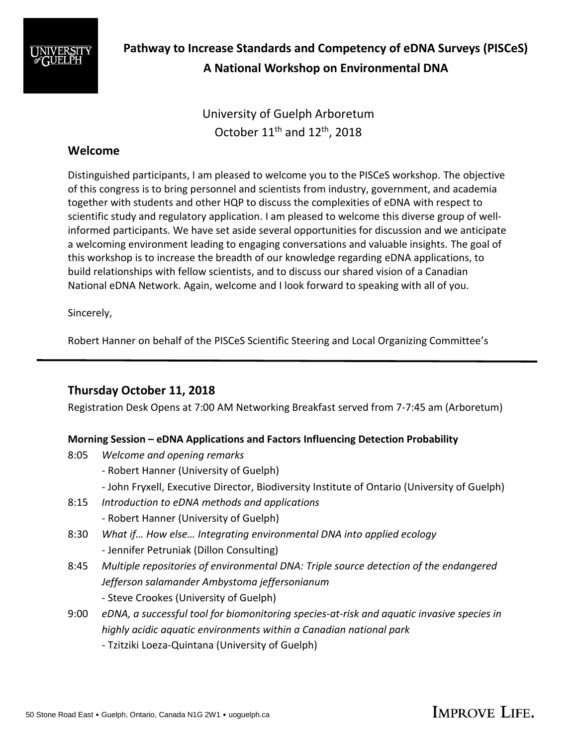

**Pathway to Increase Standards and Competency of eDNA Surveys (PISCeS) A National Workshop on Environmental DNA**

> University of Guelph Arboretum October  $11<sup>th</sup>$  and  $12<sup>th</sup>$ , 2018

## **Welcome**

Distinguished participants, I am pleased to welcome you to the PISCeS workshop. The objective of this congress is to bring personnel and scientists from industry, government, and academia together with students and other HQP to discuss the complexities of eDNA with respect to scientific study and regulatory application. I am pleased to welcome this diverse group of wellinformed participants. We have set aside several opportunities for discussion and we anticipate a welcoming environment leading to engaging conversations and valuable insights. The goal of this workshop is to increase the breadth of our knowledge regarding eDNA applications, to build relationships with fellow scientists, and to discuss our shared vision of a Canadian National eDNA Network. Again, welcome and I look forward to speaking with all of you.

Sincerely,

Robert Hanner on behalf of the PISCeS Scientific Steering and Local Organizing Committee's

# **Thursday October 11, 2018**

Registration Desk Opens at 7:00 AM Networking Breakfast served from 7-7:45 am (Arboretum)

## **Morning Session – eDNA Applications and Factors Influencing Detection Probability**

- 8:05 *Welcome and opening remarks*
	- Robert Hanner (University of Guelph)
	- John Fryxell, Executive Director, Biodiversity Institute of Ontario (University of Guelph)
- 8:15 *Introduction to eDNA methods and applications*
	- Robert Hanner (University of Guelph)
- 8:30 *What if… How else… Integrating environmental DNA into applied ecology* - Jennifer Petruniak (Dillon Consulting)
- 8:45 *Multiple repositories of environmental DNA: Triple source detection of the endangered Jefferson salamander Ambystoma jeffersonianum*
	- Steve Crookes (University of Guelph)
- 9:00 *eDNA, a successful tool for biomonitoring species-at-risk and aquatic invasive species in highly acidic aquatic environments within a Canadian national park*
	- Tzitziki Loeza-Quintana (University of Guelph)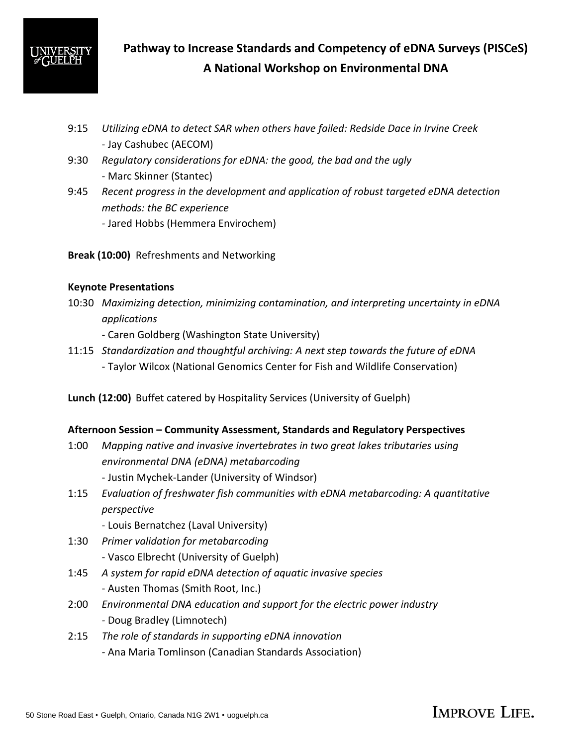

**Pathway to Increase Standards and Competency of eDNA Surveys (PISCeS) A National Workshop on Environmental DNA**

- 9:15 *Utilizing eDNA to detect SAR when others have failed: Redside Dace in Irvine Creek* - Jay Cashubec (AECOM)
- 9:30 *Regulatory considerations for eDNA: the good, the bad and the ugly* - Marc Skinner (Stantec)
- 9:45 *Recent progress in the development and application of robust targeted eDNA detection methods: the BC experience*
	- *-* Jared Hobbs (Hemmera Envirochem)
- **Break (10:00)** Refreshments and Networking

## **Keynote Presentations**

- 10:30 *Maximizing detection, minimizing contamination, and interpreting uncertainty in eDNA applications*
	- Caren Goldberg (Washington State University)
- 11:15 *Standardization and thoughtful archiving: A next step towards the future of eDNA* - Taylor Wilcox (National Genomics Center for Fish and Wildlife Conservation)
- **Lunch (12:00)** Buffet catered by Hospitality Services (University of Guelph)

## **Afternoon Session – Community Assessment, Standards and Regulatory Perspectives**

- 1:00 *Mapping native and invasive invertebrates in two great lakes tributaries using environmental DNA (eDNA) metabarcoding* 
	- Justin Mychek-Lander (University of Windsor)
- 1:15 *Evaluation of freshwater fish communities with eDNA metabarcoding: A quantitative perspective*
	- Louis Bernatchez (Laval University)
- 1:30 *Primer validation for metabarcoding*
	- Vasco Elbrecht (University of Guelph)
- 1:45 *A system for rapid eDNA detection of aquatic invasive species* - Austen Thomas (Smith Root, Inc.)
- 2:00 *Environmental DNA education and support for the electric power industry -* Doug Bradley (Limnotech)
- 2:15 *The role of standards in supporting eDNA innovation -* Ana Maria Tomlinson (Canadian Standards Association)